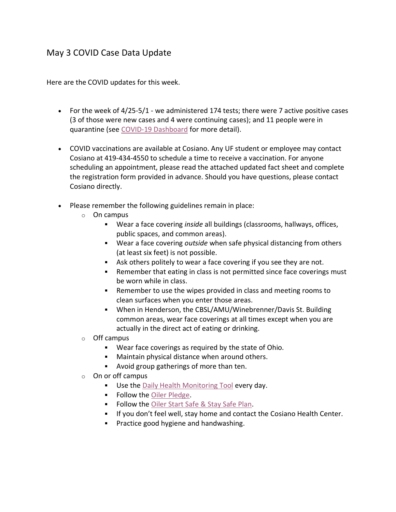## May 3 COVID Case Data Update

Here are the COVID updates for this week.

- For the week of 4/25-5/1 we administered 174 tests; there were 7 active positive cases (3 of those were new cases and 4 were continuing cases); and 11 people were in quarantine (see [COVID-19 Dashboard](https://www.findlay.edu/oiler-start-safe-and-stay-safe/covid-dashboard) for more detail).
- COVID vaccinations are available at Cosiano. Any UF student or employee may contact Cosiano at 419-434-4550 to schedule a time to receive a vaccination. For anyone scheduling an appointment, please read the attached updated fact sheet and complete the registration form provided in advance. Should you have questions, please contact Cosiano directly.
- Please remember the following guidelines remain in place:
	- o On campus
		- Wear a face covering *inside* all buildings (classrooms, hallways, offices, public spaces, and common areas).
		- Wear a face covering *outside* when safe physical distancing from others (at least six feet) is not possible.
		- Ask others politely to wear a face covering if you see they are not.
		- Remember that eating in class is not permitted since face coverings must be worn while in class.
		- Remember to use the wipes provided in class and meeting rooms to clean surfaces when you enter those areas.
		- When in Henderson, the CBSL/AMU/Winebrenner/Davis St. Building common areas, wear face coverings at all times except when you are actually in the direct act of eating or drinking.
	- o Off campus
		- Wear face coverings as required by the state of Ohio.
		- Maintain physical distance when around others.
		- **Avoid group gatherings of more than ten.**
	- $\circ$  On or off campus
		- **Use the [Daily Health Monitoring Tool](https://findlayu.workflowcloud.com/forms/c6f714d6-a1f3-4a6d-874c-9fedc91de3be) every day.**
		- **Follow the [Oiler Pledge.](https://www.findlay.edu/oiler-start-safe-and-stay-safe/oiler-nation-community-pledge)**
		- Follow the [Oiler Start Safe & Stay Safe Plan.](https://www.findlay.edu/oiler-start-safe-and-stay-safe/)
		- **If you don't feel well, stay home and contact the Cosiano Health Center.**
		- **Practice good hygiene and handwashing.**